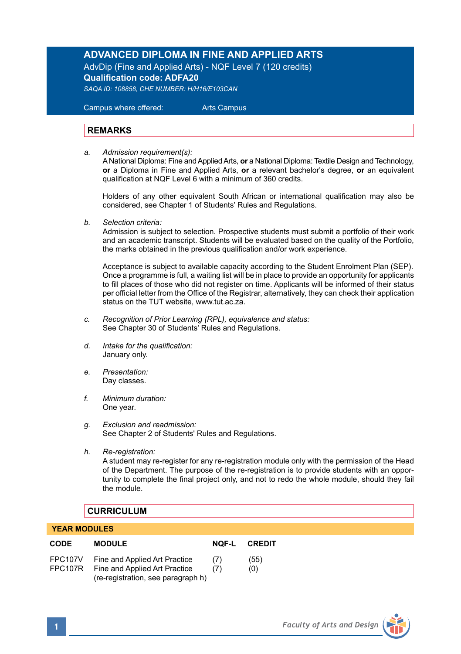# **ADVANCED DIPLOMA IN FINE AND APPLIED ARTS**

AdvDip (Fine and Applied Arts) - NQF Level 7 (120 credits) **Qualification code: ADFA20**

*SAQA ID: 108858, CHE NUMBER: H/H16/E103CAN* 

 Campus where offered: Arts Campus

# **REMARKS**

*a. Admission requirement(s):* 

A National Diploma: Fine and Applied Arts, **or** a National Diploma: Textile Design and Technology, **or** a Diploma in Fine and Applied Arts, **or** a relevant bachelor's degree, **or** an equivalent qualification at NQF Level 6 with a minimum of 360 credits.

Holders of any other equivalent South African or international qualification may also be considered, see Chapter 1 of Students' Rules and Regulations.

*b. Selection criteria:*

Admission is subject to selection. Prospective students must submit a portfolio of their work and an academic transcript. Students will be evaluated based on the quality of the Portfolio, the marks obtained in the previous qualification and/or work experience.

 Acceptance is subject to available capacity according to the Student Enrolment Plan (SEP). Once a programme is full, a waiting list will be in place to provide an opportunity for applicants to fill places of those who did not register on time. Applicants will be informed of their status per official letter from the Office of the Registrar, alternatively, they can check their application status on the TUT website, www.tut.ac.za.

- *c. Recognition of Prior Learning (RPL), equivalence and status:* See Chapter 30 of Students' Rules and Regulations.
- *d. Intake for the qualification:* January only.
- *e. Presentation:* Day classes.
- *f. Minimum duration:* One year.
- *g. Exclusion and readmission:* See Chapter 2 of Students' Rules and Regulations.
- *h. Re-registration:*

A student may re-register for any re-registration module only with the permission of the Head of the Department. The purpose of the re-registration is to provide students with an opportunity to complete the final project only, and not to redo the whole module, should they fail the module.

### **CURRICULUM**

#### **YEAR MODULES**

| <b>CODE</b>        | <b>MODULE</b>                                                                                        | NOF-L      | <b>CREDIT</b> |
|--------------------|------------------------------------------------------------------------------------------------------|------------|---------------|
| FPC107V<br>FPC107R | Fine and Applied Art Practice<br>Fine and Applied Art Practice<br>(re-registration, see paragraph h) | (7)<br>(7) | (55)<br>(0)   |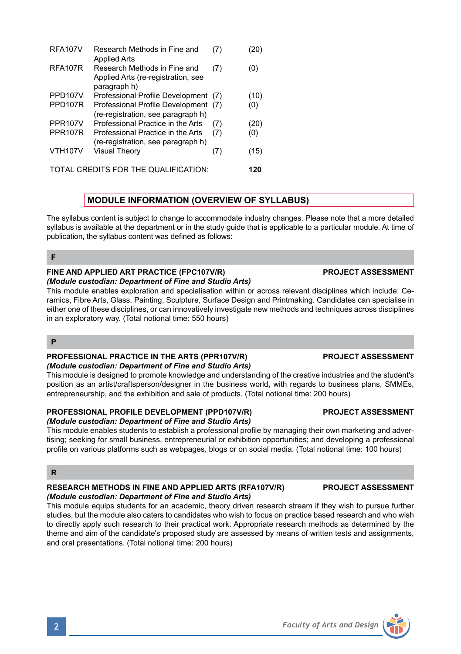RFA107V Research Methods in Fine and (7) (20) Applied Arts RFA107R Research Methods in Fine and (7) (0) Applied Arts (re-registration, see paragraph h) PPD107V Professional Profile Development (7) (10)<br>PPD107R Professional Profile Development (7) (0) Professional Profile Development (7) (0) (re-registration, see paragraph h) PPR107V Professional Practice in the Arts (7) (20)<br>PPR107R Professional Practice in the Arts (7) (0) Professional Practice in the Arts (re-registration, see paragraph h) VTH107V Visual Theory (7) (15) TOTAL CREDITS FOR THE QUALIFICATION: **120**

# **MODULE INFORMATION (OVERVIEW OF SYLLABUS)**

The syllabus content is subject to change to accommodate industry changes. Please note that a more detailed syllabus is available at the department or in the study guide that is applicable to a particular module. At time of publication, the syllabus content was defined as follows:

### **F**

### **FINE AND APPLIED ART PRACTICE (FPC107V/R) PROJECT ASSESSMENT** *(Module custodian: Department of Fine and Studio Arts)*

This module enables exploration and specialisation within or across relevant disciplines which include: Ceramics, Fibre Arts, Glass, Painting, Sculpture, Surface Design and Printmaking. Candidates can specialise in either one of these disciplines, or can innovatively investigate new methods and techniques across disciplines in an exploratory way. (Total notional time: 550 hours)

# **P**

#### **PROFESSIONAL PRACTICE IN THE ARTS (PPR107V/R) PROJECT ASSESSMENT** *(Module custodian: Department of Fine and Studio Arts)*

This module is designed to promote knowledge and understanding of the creative industries and the student's position as an artist/craftsperson/designer in the business world, with regards to business plans, SMMEs, entrepreneurship, and the exhibition and sale of products. (Total notional time: 200 hours)

### **PROFESSIONAL PROFILE DEVELOPMENT (PPD107V/R) PROJECT ASSESSMENT** *(Module custodian: Department of Fine and Studio Arts)*

This module enables students to establish a professional profile by managing their own marketing and advertising; seeking for small business, entrepreneurial or exhibition opportunities; and developing a professional profile on various platforms such as webpages, blogs or on social media. (Total notional time: 100 hours)

# **R**

# **RESEARCH METHODS IN FINE AND APPLIED ARTS (RFA107V/R) PROJECT ASSESSMENT** *(Module custodian: Department of Fine and Studio Arts)*

This module equips students for an academic, theory driven research stream if they wish to pursue further studies, but the module also caters to candidates who wish to focus on practice based research and who wish to directly apply such research to their practical work. Appropriate research methods as determined by the theme and aim of the candidate's proposed study are assessed by means of written tests and assignments, and oral presentations. (Total notional time: 200 hours)